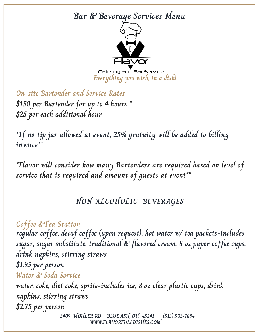# **Bar & Beverage Services Menu**



Catering and Bar Service **Everything you wish, in a dish!**

**On-site Bartender and Service Rates \$150 per Bartender for up to 4 hours \* \$25 per each additional hour**

**\*If no tip jar allowed at event, 25% gratuity will be added to billing invoice\*\***

**\*Flavor will consider how many Bartenders are required based on level of service that is required and amount of guests at event\*\***

## **NON-ALCOHOLIC BEVERAGES**

**Coffee &Tea Station regular coffee, decaf coffee (upon request), hot water w/ tea packets-includes sugar, sugar substitute, traditional & flavored cream, 8 oz paper coffee cups, drink napkins, stirring straws \$1.95 per person 3409 MOHLER RD BLUE ASH, OH 45241 (513) 503-7684 Water & Soda Service water, coke, diet coke, sprite-includes ice, 8 oz clear plastic cups, drink napkins, stirring straws \$2.75 per person**

**WWW.FLAVORFULLDISHES.COM**